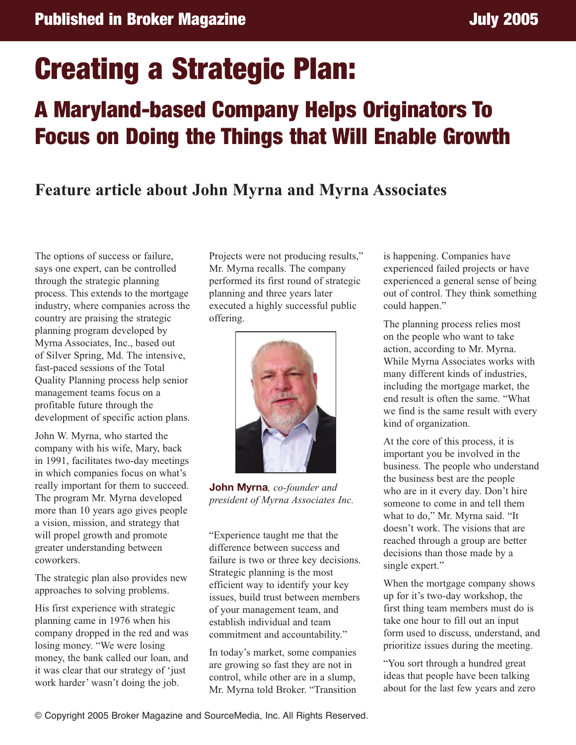## **Creating a Strategic Plan:**

## **A Maryland-based Company Helps Originators To Focus on Doing the Things that Will Enable Growth**

## **Feature article about John Myrna and Myrna Associates**

The options of success or failure, says one expert, can be controlled through the strategic planning process. This extends to the mortgage industry, where companies across the country are praising the strategic planning program developed by Myrna Associates, Inc., based out of Silver Spring, Md. The intensive, fast-paced sessions of the Total Quality Planning process help senior management teams focus on a profitable future through the development of specific action plans.

John W. Myrna, who started the company with his wife, Mary, back in 1991, facilitates two-day meetings in which companies focus on what's really important for them to succeed. The program Mr. Myrna developed more than 10 years ago gives people a vision, mission, and strategy that will propel growth and promote greater understanding between coworkers.

The strategic plan also provides new approaches to solving problems.

His first experience with strategic planning came in 1976 when his company dropped in the red and was losing money. "We were losing money, the bank called our loan, and it was clear that our strategy of 'just work harder' wasn't doing the job.

Projects were not producing results," Mr. Myrna recalls. The company performed its first round of strategic planning and three years later executed a highly successful public offering.



**John Myrna***, co-founder and president of Myrna Associates Inc.*

"Experience taught me that the difference between success and failure is two or three key decisions. Strategic planning is the most efficient way to identify your key issues, build trust between members of your management team, and establish individual and team commitment and accountability."

In today's market, some companies are growing so fast they are not in control, while other are in a slump, Mr. Myrna told Broker. "Transition is happening. Companies have experienced failed projects or have experienced a general sense of being out of control. They think something could happen."

The planning process relies most on the people who want to take action, according to Mr. Myrna. While Myrna Associates works with many different kinds of industries, including the mortgage market, the end result is often the same. "What we find is the same result with every kind of organization.

At the core of this process, it is important you be involved in the business. The people who understand the business best are the people who are in it every day. Don't hire someone to come in and tell them what to do," Mr. Myrna said. "It doesn't work. The visions that are reached through a group are better decisions than those made by a single expert."

When the mortgage company shows up for it's two-day workshop, the first thing team members must do is take one hour to fill out an input form used to discuss, understand, and prioritize issues during the meeting.

"You sort through a hundred great ideas that people have been talking about for the last few years and zero